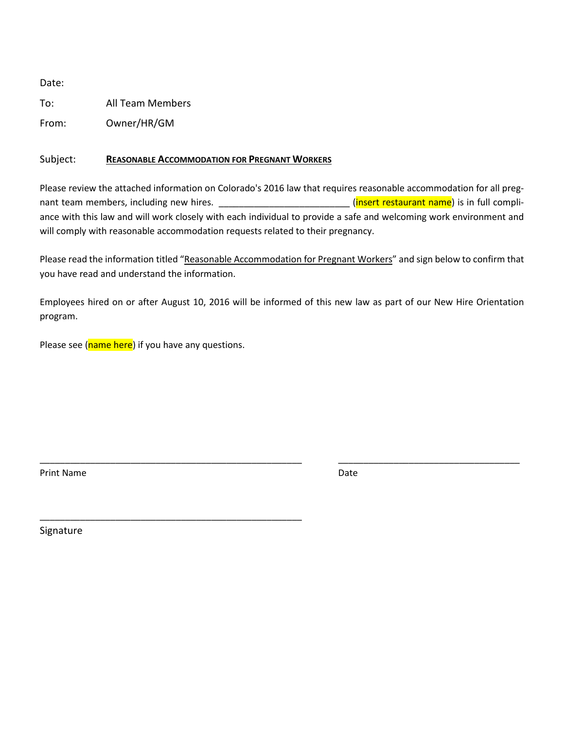Date:

To: All Team Members

From: Owner/HR/GM

## Subject: **REASONABLE ACCOMMODATION FOR PREGNANT WORKERS**

Please review the attached information on Colorado's 2016 law that requires reasonable accommodation for all pregnant team members, including new hires. \_\_\_\_\_\_\_\_\_\_\_\_\_\_\_\_\_\_\_\_\_\_\_\_\_\_\_\_\_(insert restaurant name) is in full compliance with this law and will work closely with each individual to provide a safe and welcoming work environment and will comply with reasonable accommodation requests related to their pregnancy.

Please read the information titled "Reasonable Accommodation for Pregnant Workers" and sign below to confirm that you have read and understand the information.

Employees hired on or after August 10, 2016 will be informed of this new law as part of our New Hire Orientation program.

\_\_\_\_\_\_\_\_\_\_\_\_\_\_\_\_\_\_\_\_\_\_\_\_\_\_\_\_\_\_\_\_\_\_\_\_\_\_\_\_\_\_\_\_\_\_\_\_\_\_\_\_ \_\_\_\_\_\_\_\_\_\_\_\_\_\_\_\_\_\_\_\_\_\_\_\_\_\_\_\_\_\_\_\_\_\_\_\_

Please see (name here) if you have any questions.

\_\_\_\_\_\_\_\_\_\_\_\_\_\_\_\_\_\_\_\_\_\_\_\_\_\_\_\_\_\_\_\_\_\_\_\_\_\_\_\_\_\_\_\_\_\_\_\_\_\_\_\_

Print Name Date

Signature